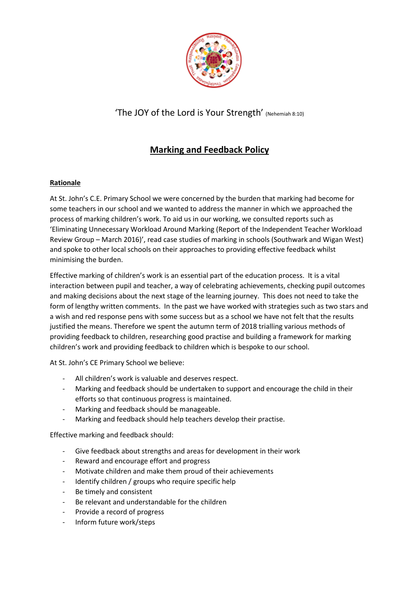

## 'The JOY of the Lord is Your Strength' (Nehemiah 8:10)

# **Marking and Feedback Policy**

### **Rationale**

At St. John's C.E. Primary School we were concerned by the burden that marking had become for some teachers in our school and we wanted to address the manner in which we approached the process of marking children's work. To aid us in our working, we consulted reports such as 'Eliminating Unnecessary Workload Around Marking (Report of the Independent Teacher Workload Review Group – March 2016)', read case studies of marking in schools (Southwark and Wigan West) and spoke to other local schools on their approaches to providing effective feedback whilst minimising the burden.

Effective marking of children's work is an essential part of the education process. It is a vital interaction between pupil and teacher, a way of celebrating achievements, checking pupil outcomes and making decisions about the next stage of the learning journey. This does not need to take the form of lengthy written comments. In the past we have worked with strategies such as two stars and a wish and red response pens with some success but as a school we have not felt that the results justified the means. Therefore we spent the autumn term of 2018 trialling various methods of providing feedback to children, researching good practise and building a framework for marking children's work and providing feedback to children which is bespoke to our school.

At St. John's CE Primary School we believe:

- All children's work is valuable and deserves respect.
- Marking and feedback should be undertaken to support and encourage the child in their efforts so that continuous progress is maintained.
- Marking and feedback should be manageable.
- Marking and feedback should help teachers develop their practise.

Effective marking and feedback should:

- Give feedback about strengths and areas for development in their work
- Reward and encourage effort and progress
- Motivate children and make them proud of their achievements
- Identify children / groups who require specific help
- Be timely and consistent
- Be relevant and understandable for the children
- Provide a record of progress
- Inform future work/steps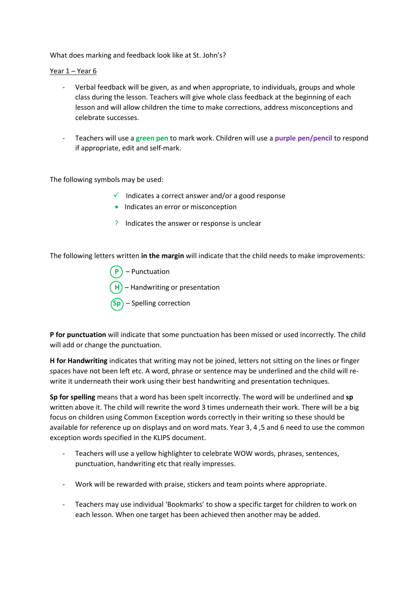What does marking and feedback look like at St. John's?

#### Year 1 – Year 6

- Verbal feedback will be given, as and when appropriate, to individuals, groups and whole class during the lesson. Teachers will give whole class feedback at the beginning of each lesson and will allow children the time to make corrections, address misconceptions and celebrate successes.
- Teachers will use a **green pen** to mark work. Children will use a **purple pen/pencil** to respond if appropriate, edit and self-mark.

The following symbols may be used:

- $\checkmark$  Indicates a correct answer and/or a good response
- Indicates an error or misconception
- ? Indicates the answer or response is unclear

The following letters written **in the margin** will indicate that the child needs to make improvements:

- **P** Punctuation
- **H**) Handwriting or presentation
- Spelling correction

**P for punctuation** will indicate that some punctuation has been missed or used incorrectly. The child will add or change the punctuation.

**H for Handwriting** indicates that writing may not be joined, letters not sitting on the lines or finger spaces have not been left etc. A word, phrase or sentence may be underlined and the child will rewrite it underneath their work using their best handwriting and presentation techniques.

**Sp for spelling** means that a word has been spelt incorrectly. The word will be underlined and **sp**  written above it. The child will rewrite the word 3 times underneath their work. There will be a big focus on children using Common Exception words correctly in their writing so these should be available for reference up on displays and on word mats. Year 3, 4 ,5 and 6 need to use the common exception words specified in the KLIPS document.

- Teachers will use a yellow highlighter to celebrate WOW words, phrases, sentences, punctuation, handwriting etc that really impresses.
- Work will be rewarded with praise, stickers and team points where appropriate.
- Teachers may use individual 'Bookmarks' to show a specific target for children to work on each lesson. When one target has been achieved then another may be added.